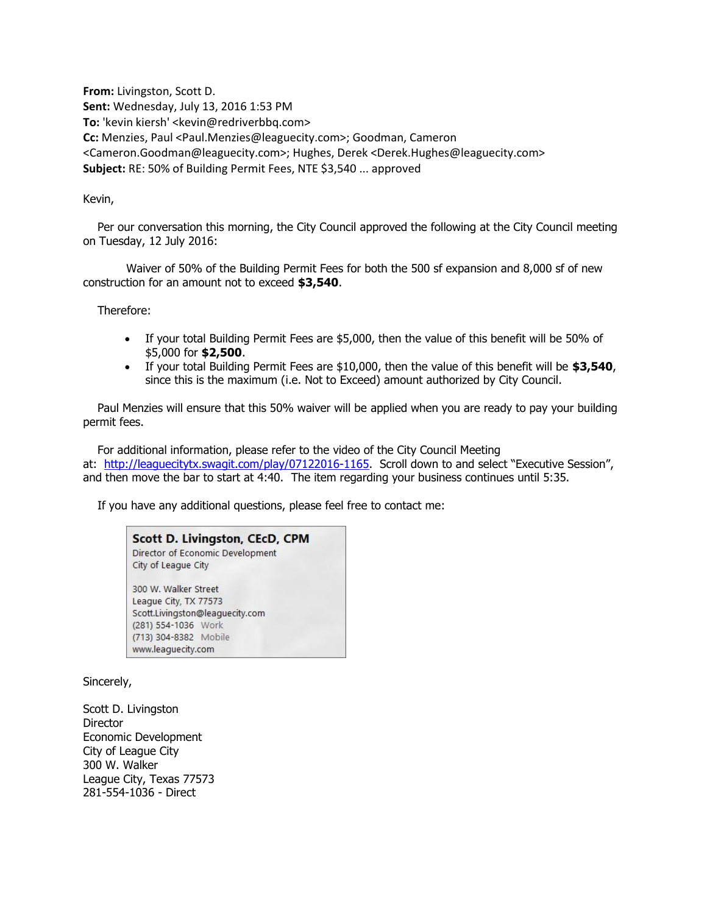**From:** Livingston, Scott D. **Sent:** Wednesday, July 13, 2016 1:53 PM **To:** 'kevin kiersh' <kevin@redriverbbq.com> **Cc:** Menzies, Paul <Paul.Menzies@leaguecity.com>; Goodman, Cameron <Cameron.Goodman@leaguecity.com>; Hughes, Derek <Derek.Hughes@leaguecity.com> **Subject:** RE: 50% of Building Permit Fees, NTE \$3,540 ... approved

## Kevin,

 Per our conversation this morning, the City Council approved the following at the City Council meeting on Tuesday, 12 July 2016:

 Waiver of 50% of the Building Permit Fees for both the 500 sf expansion and 8,000 sf of new construction for an amount not to exceed **\$3,540**.

Therefore:

- If your total Building Permit Fees are \$5,000, then the value of this benefit will be 50% of \$5,000 for **\$2,500**.
- If your total Building Permit Fees are \$10,000, then the value of this benefit will be **\$3,540**, since this is the maximum (i.e. Not to Exceed) amount authorized by City Council.

 Paul Menzies will ensure that this 50% waiver will be applied when you are ready to pay your building permit fees.

 For additional information, please refer to the video of the City Council Meeting at: [http://leaguecitytx.swagit.com/play/07122016-1165.](http://leaguecitytx.swagit.com/play/07122016-1165) Scroll down to and select "Executive Session", and then move the bar to start at 4:40. The item regarding your business continues until 5:35.

If you have any additional questions, please feel free to contact me:

**Scott D. Livingston, CEcD, CPM** Director of Economic Development City of League City 300 W. Walker Street League City, TX 77573 Scott.Livingston@leaguecity.com (281) 554-1036 Work (713) 304-8382 Mobile www.leaguecity.com

Sincerely,

Scott D. Livingston Director Economic Development City of League City 300 W. Walker League City, Texas 77573 281-554-1036 - Direct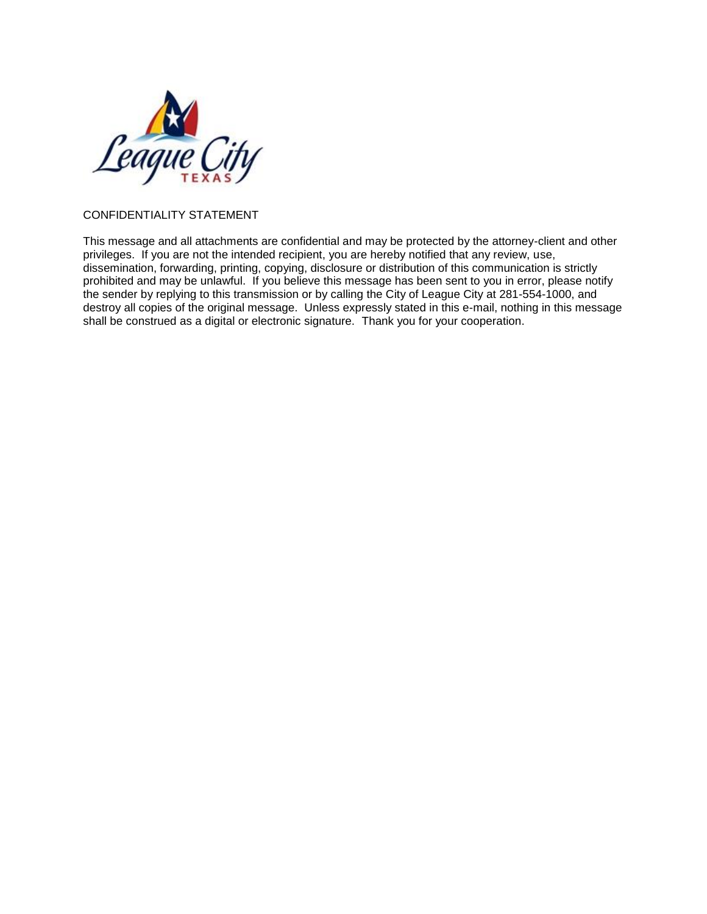

## CONFIDENTIALITY STATEMENT

This message and all attachments are confidential and may be protected by the attorney-client and other privileges. If you are not the intended recipient, you are hereby notified that any review, use, dissemination, forwarding, printing, copying, disclosure or distribution of this communication is strictly prohibited and may be unlawful. If you believe this message has been sent to you in error, please notify the sender by replying to this transmission or by calling the City of League City at 281-554-1000, and destroy all copies of the original message. Unless expressly stated in this e-mail, nothing in this message shall be construed as a digital or electronic signature. Thank you for your cooperation.